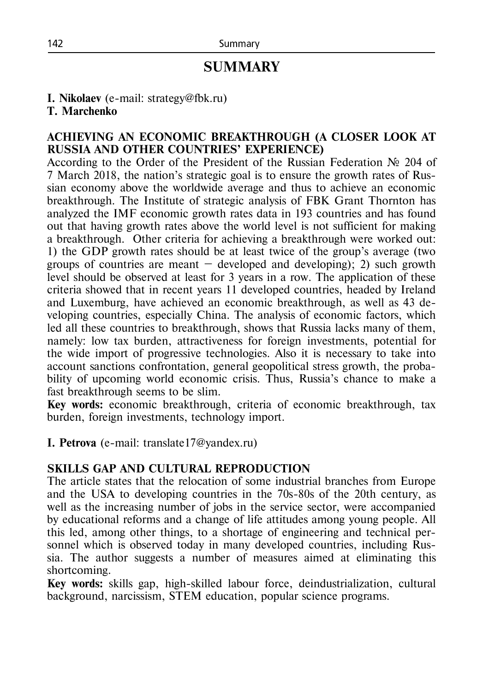# **SUMMARY**

**I. Nikolaev** (e-mail: strategy@fbk.ru)

#### **T. Marchenko**

### **ACHIEVING AN ECONOMIC BREAKTHROUGH (A CLOSER LOOK AT RUSSIA AND OTHER COUNTRIES' EXPERIENCE)**

According to the Order of the President of the Russian Federation № 204 of 7 March 2018, the nation's strategic goal is to ensure the growth rates of Russian economy above the worldwide average and thus to achieve an economic breakthrough. The Institute of strategic analysis of FBK Grant Thornton has analyzed the IMF economic growth rates data in 193 countries and has found out that having growth rates above the world level is not sufficient for making a breakthrough. Other criteria for achieving a breakthrough were worked out: 1) the GDP growth rates should be at least twice of the group's average (two groups of countries are meant  $-$  developed and developing); 2) such growth level should be observed at least for 3 years in a row. The application of these criteria showed that in recent years 11 developed countries, headed by Ireland and Luxemburg, have achieved an economic breakthrough, as well as 43 developing countries, especially China. The analysis of economic factors, which led all these countries to breakthrough, shows that Russia lacks many of them, namely: low tax burden, attractiveness for foreign investments, potential for the wide import of progressive technologies. Also it is necessary to take into account sanctions confrontation, general geopolitical stress growth, the probability of upcoming world economic crisis. Thus, Russia's chance to make a fast breakthrough seems to be slim.

**Key words:** economic breakthrough, criteria of economic breakthrough, tax burden, foreign investments, technology import.

**I. Petrova** (e-mail: translate17@yandex.ru)

# **SKILLS GAP AND CULTURAL REPRODUCTION**

The article states that the relocation of some industrial branches from Europe and the USA to developing countries in the 70s-80s of the 20th century, as well as the increasing number of jobs in the service sector, were accompanied by educational reforms and a change of life attitudes among young people. All this led, among other things, to a shortage of engineering and technical personnel which is observed today in many developed countries, including Russia. The author suggests a number of measures aimed at eliminating this shortcoming.

**Key words:** skills gap, high-skilled labour force, deindustrialization, cultural background, narcissism, STEM education, popular science programs.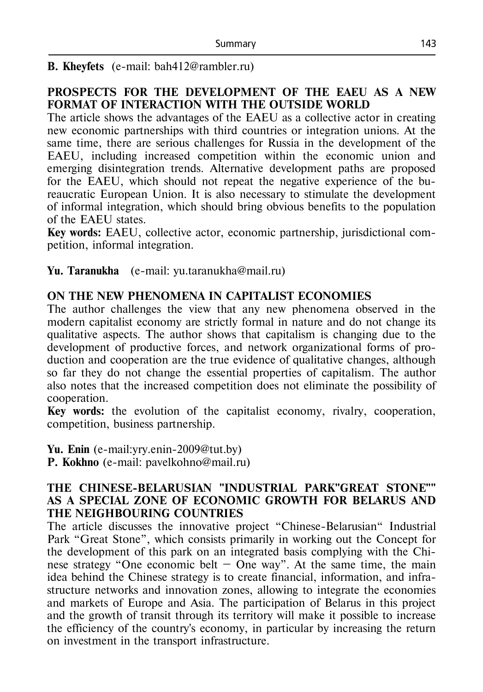**B. Kheyfets** (е-mail: bah412@rambler.ru)

# **PROSPECTS FOR THE DEVELOPMENT OF THE EAEU AS A NEW FORMAT OF INTERACTION WITH THE OUTSIDE WORLD**

The article shows the advantages of the EAEU as a collective actor in creating new economic partnerships with third countries or integration unions. At the same time, there are serious challenges for Russia in the development of the EAEU, including increased competition within the economic union and emerging disintegration trends. Alternative development paths are proposed for the EAEU, which should not repeat the negative experience of the bureaucratic European Union. It is also necessary to stimulate the development of informal integration, which should bring obvious benefits to the population of the EAEU states.

**Key words:** EAEU, collective actor, economic partnership, jurisdictional competition, informal integration.

**Yu. Taranukha** (е-mail: yu.taranukha@mail.ru)

#### **ON THE NEW PHENOMENA IN CAPITALIST ECONOMIES**

The author challenges the view that any new phenomena observed in the modern capitalist economy are strictly formal in nature and do not change its qualitative aspects. The author shows that capitalism is changing due to the development of productive forces, and network organizational forms of production and cooperation are the true evidence of qualitative changes, although so far they do not change the essential properties of capitalism. The author also notes that the increased competition does not eliminate the possibility of cooperation.

**Key words:** the evolution of the capitalist economy, rivalry, cooperation, competition, business partnership.

**Yu. Enin** (e-mail:yry.enin-2009@tut.by) **P. Kokhno** (e-mail: pavelkohno@mail.ru)

#### **THE CHINESE-BELARUSIAN "INDUSTRIAL PARK"GREAT STONE"" AS A SPECIAL ZONE OF ECONOMIC GROWTH FOR BELARUS AND THE NEIGHBOURING COUNTRIES**

The article discusses the innovative project "Chinese-Belarusian" Industrial Park "Great Stone", which consists primarily in working out the Concept for the development of this park on an integrated basis complying with the Chinese strategy "One economic belt  $-$  One way". At the same time, the main idea behind the Chinese strategy is to create financial, information, and infrastructure networks and innovation zones, allowing to integrate the economies and markets of Europe and Asia. The participation of Belarus in this project and the growth of transit through its territory will make it possible to increase the efficiency of the country's economy, in particular by increasing the return on investment in the transport infrastructure.